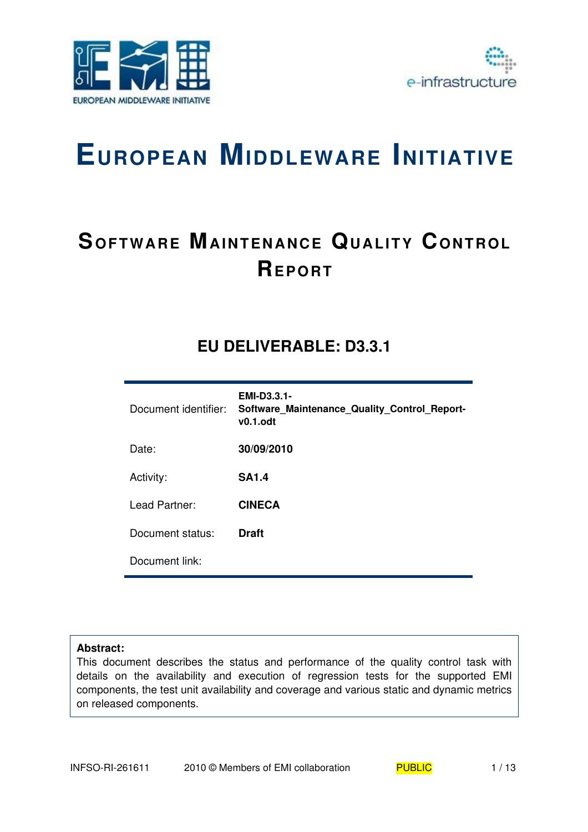



# **EUROPEAN MIDDLEWARE INITIATIVE**

# **SOFTWARE MAINTENANCE QUALITY CONTROL REP O RT**

## **EU DELIVERABLE: D3.3.1**

| Document identifier: | <b>EMI-D3.3.1-</b><br>Software Maintenance Quality Control Report-<br>$v0.1.$ odt |
|----------------------|-----------------------------------------------------------------------------------|
| Date:                | 30/09/2010                                                                        |
| Activity:            | <b>SA1.4</b>                                                                      |
| Lead Partner:        | <b>CINECA</b>                                                                     |
| Document status:     | <b>Draft</b>                                                                      |
| Document link:       |                                                                                   |

#### **Abstract:**

This document describes the status and performance of the quality control task with details on the availability and execution of regression tests for the supported EMI components, the test unit availability and coverage and various static and dynamic metrics on released components.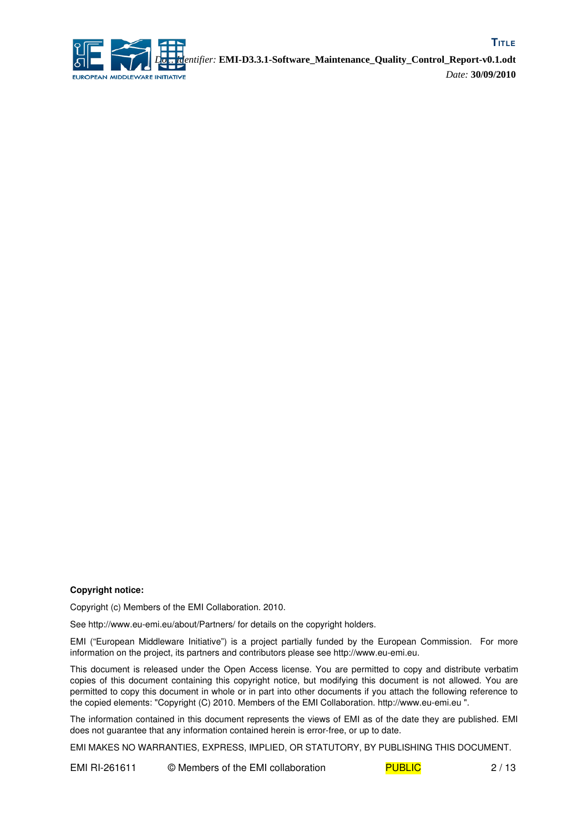

#### **Copyright notice:**

Copyright (c) Members of the EMI Collaboration. 2010.

See http://www.eu-emi.eu/about/Partners/ for details on the copyright holders.

EMI ("European Middleware Initiative") is a project partially funded by the European Commission. For more information on the project, its partners and contributors please see http://www.eu-emi.eu.

This document is released under the Open Access license. You are permitted to copy and distribute verbatim copies of this document containing this copyright notice, but modifying this document is not allowed. You are permitted to copy this document in whole or in part into other documents if you attach the following reference to the copied elements: "Copyright (C) 2010. Members of the EMI Collaboration. http://www.euemi.eu ".

The information contained in this document represents the views of EMI as of the date they are published. EMI does not guarantee that any information contained herein is error-free, or up to date.

EMI MAKES NO WARRANTIES, EXPRESS, IMPLIED, OR STATUTORY, BY PUBLISHING THIS DOCUMENT.

EMI RI-261611 © Members of the EMI collaboration PUBLIC 2/13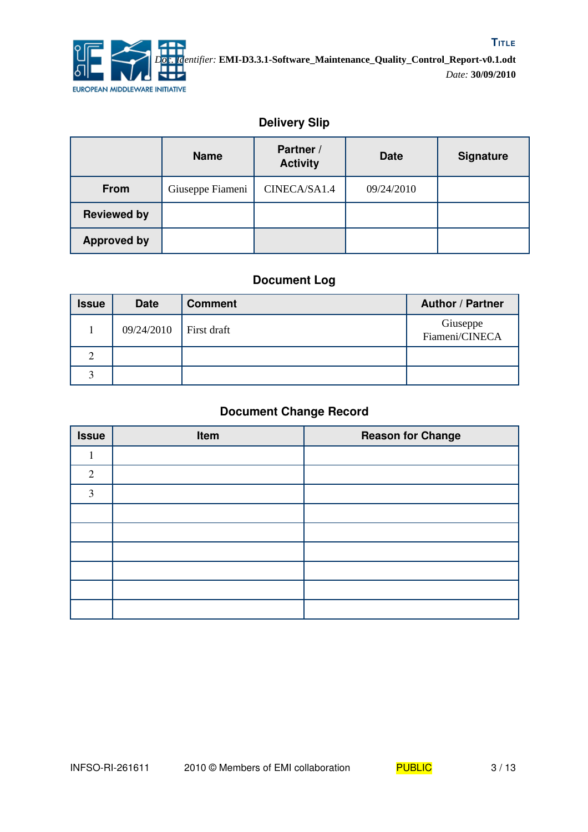

## **Delivery Slip**

|                    | <b>Name</b>      | Partner /<br><b>Activity</b> | <b>Date</b> | <b>Signature</b> |
|--------------------|------------------|------------------------------|-------------|------------------|
| <b>From</b>        | Giuseppe Fiameni | CINECA/SA1.4                 | 09/24/2010  |                  |
| <b>Reviewed by</b> |                  |                              |             |                  |
| <b>Approved by</b> |                  |                              |             |                  |

## **Document Log**

| <b>Issue</b> | <b>Date</b> | <b>Comment</b> | <b>Author / Partner</b>    |
|--------------|-------------|----------------|----------------------------|
|              | 09/24/2010  | First draft    | Giuseppe<br>Fiameni/CINECA |
| $\gamma$     |             |                |                            |
|              |             |                |                            |

## **Document Change Record**

| <b>Issue</b> | Item | <b>Reason for Change</b> |
|--------------|------|--------------------------|
|              |      |                          |
| 2            |      |                          |
| 3            |      |                          |
|              |      |                          |
|              |      |                          |
|              |      |                          |
|              |      |                          |
|              |      |                          |
|              |      |                          |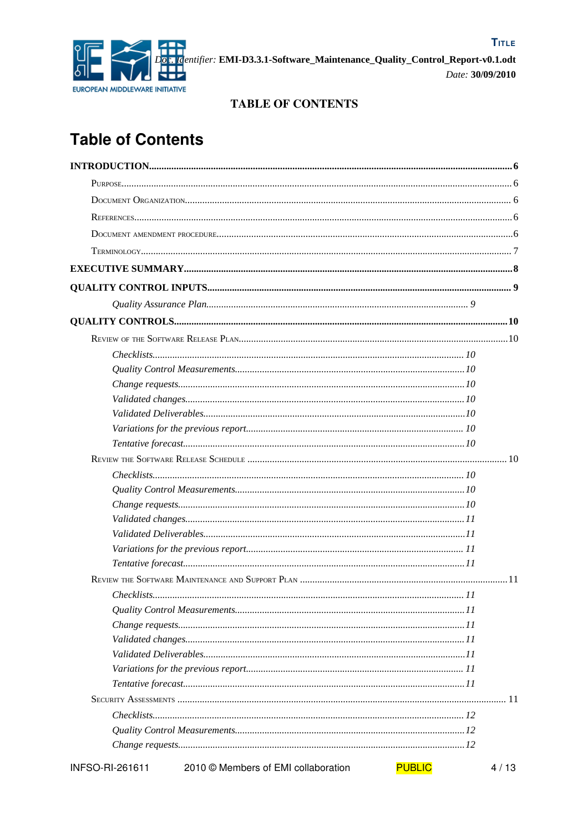

#### **TABLE OF CONTENTS**

# **Table of Contents**

|                 | Check lists 10                      |               |      |
|-----------------|-------------------------------------|---------------|------|
|                 |                                     |               |      |
|                 |                                     |               |      |
|                 |                                     |               |      |
|                 |                                     |               |      |
|                 |                                     |               |      |
|                 |                                     |               |      |
|                 |                                     |               |      |
|                 |                                     |               |      |
|                 |                                     |               |      |
|                 |                                     |               |      |
|                 |                                     |               |      |
|                 |                                     |               |      |
|                 |                                     |               |      |
|                 |                                     |               |      |
|                 |                                     |               |      |
|                 |                                     |               |      |
|                 |                                     |               |      |
|                 |                                     |               |      |
|                 |                                     |               |      |
| INFSO-RI-261611 | 2010 © Members of EMI collaboration | <b>PUBLIC</b> | 4/13 |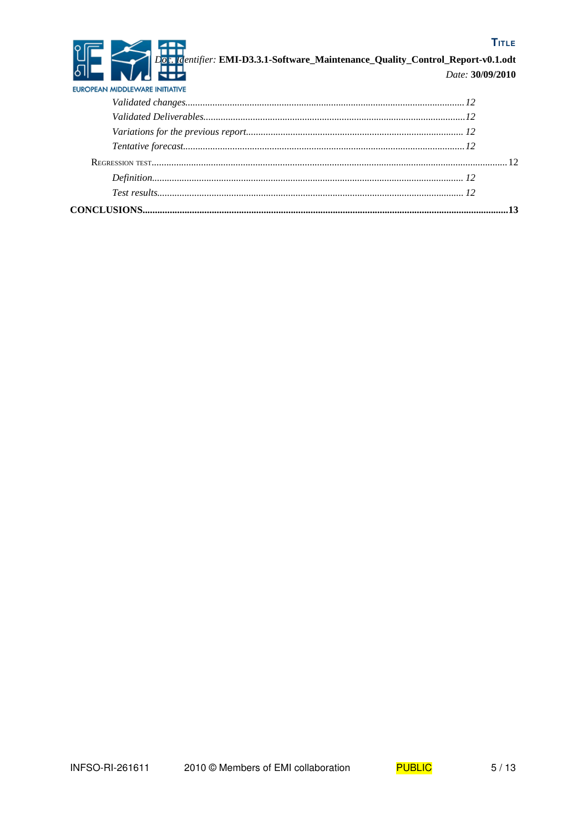#### **TITLE**



## 2. Identifier: EMI-D3.3.1-Software\_Maintenance\_Quality\_Control\_Report-v0.1.odt

| Date: 30/09/2010 |  |
|------------------|--|

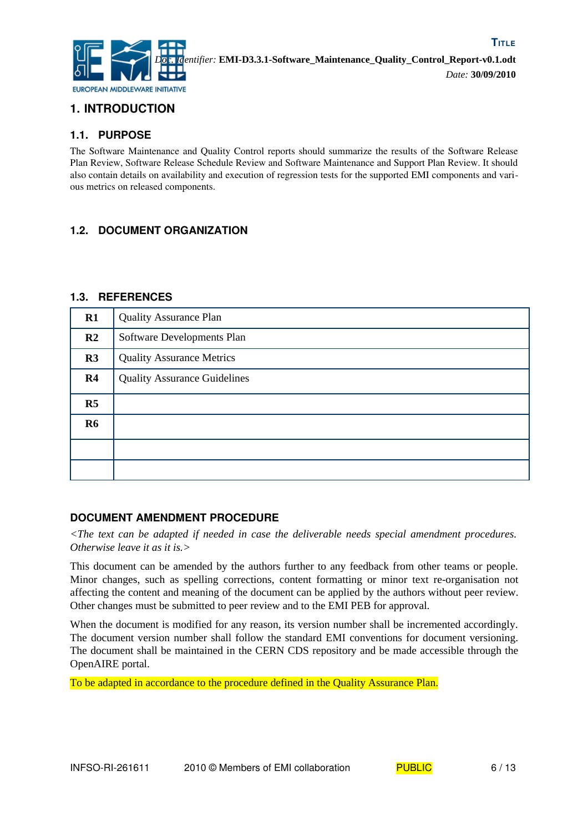

## **1. INTRODUCTION**

#### **1.1. PURPOSE**

The Software Maintenance and Quality Control reports should summarize the results of the Software Release Plan Review, Software Release Schedule Review and Software Maintenance and Support Plan Review. It should also contain details on availability and execution of regression tests for the supported EMI components and various metrics on released components.

#### **1.2. DOCUMENT ORGANIZATION**

#### **1.3. REFERENCES**

| R1             | <b>Quality Assurance Plan</b>       |
|----------------|-------------------------------------|
| R <sub>2</sub> | Software Developments Plan          |
| R3             | <b>Quality Assurance Metrics</b>    |
| R <sub>4</sub> | <b>Quality Assurance Guidelines</b> |
| R5             |                                     |
| <b>R6</b>      |                                     |
|                |                                     |
|                |                                     |

#### **DOCUMENT AMENDMENT PROCEDURE**

*<The text can be adapted if needed in case the deliverable needs special amendment procedures. Otherwise leave it as it is.>*

This document can be amended by the authors further to any feedback from other teams or people. Minor changes, such as spelling corrections, content formatting or minor text re-organisation not affecting the content and meaning of the document can be applied by the authors without peer review. Other changes must be submitted to peer review and to the EMI PEB for approval.

When the document is modified for any reason, its version number shall be incremented accordingly. The document version number shall follow the standard EMI conventions for document versioning. The document shall be maintained in the CERN CDS repository and be made accessible through the OpenAIRE portal.

To be adapted in accordance to the procedure defined in the Quality Assurance Plan.

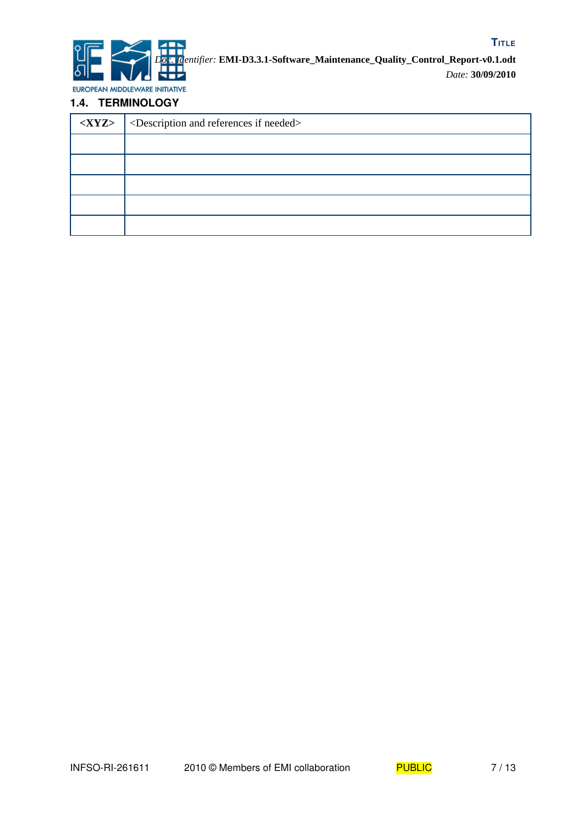

EUROPEAN MIDDLEWARE INITIATIVE

#### **1.4. TERMINOLOGY**

| $\langle$ XYZ> $\rangle$ <description and="" if="" needed="" references=""></description> |
|-------------------------------------------------------------------------------------------|
|                                                                                           |
|                                                                                           |
|                                                                                           |
|                                                                                           |
|                                                                                           |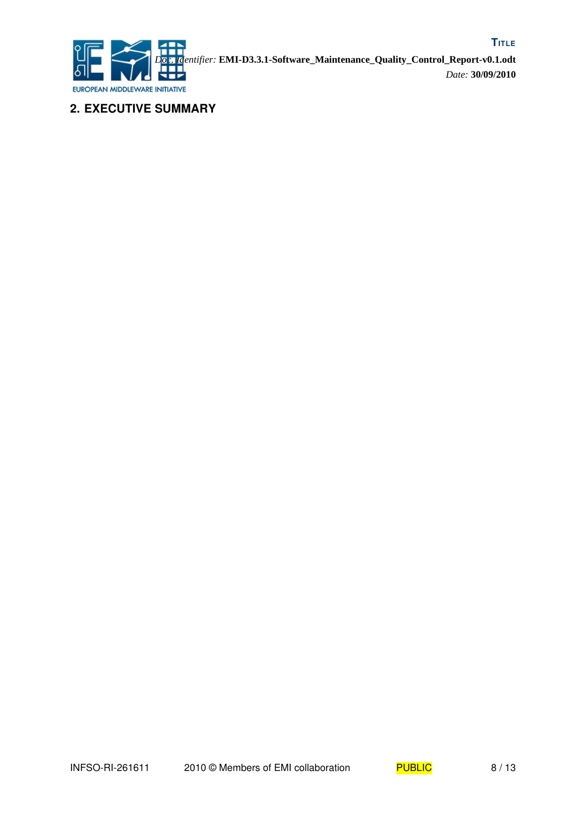

**2. EXECUTIVE SUMMARY**

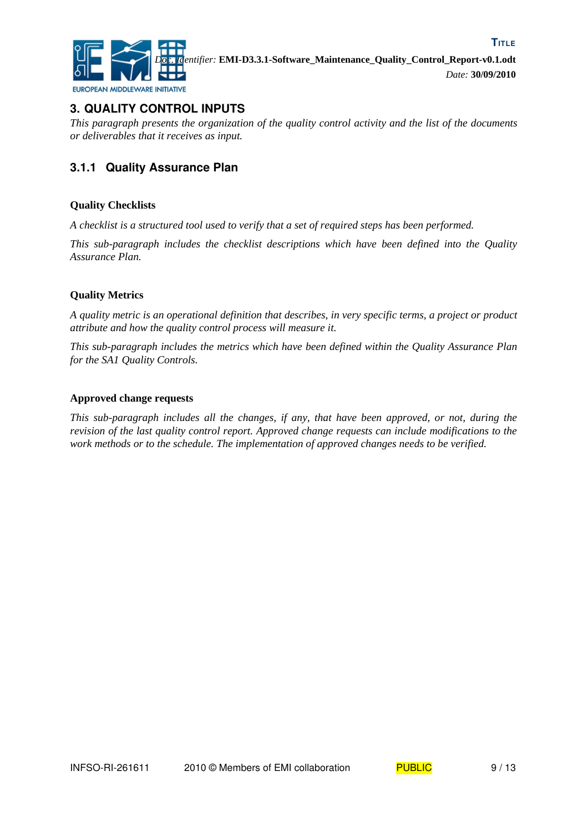

## **3. QUALITY CONTROL INPUTS**

*This paragraph presents the organization of the quality control activity and the list of the documents or deliverables that it receives as input.*

## **3.1.1 Quality Assurance Plan**

#### **Quality Checklists**

*A checklist is a structured tool used to verify that a set of required steps has been performed.* 

*This sub-paragraph includes the checklist descriptions which have been defined into the Quality Assurance Plan.*

#### **Quality Metrics**

*A quality metric is an operational definition that describes, in very specific terms, a project or product attribute and how the quality control process will measure it.*

*This sub-paragraph includes the metrics which have been defined within the Quality Assurance Plan for the SA1 Quality Controls.*

#### **Approved change requests**

*This sub-paragraph includes all the changes, if any, that have been approved, or not, during the revision of the last quality control report. Approved change requests can include modifications to the work methods or to the schedule. The implementation of approved changes needs to be verified.*

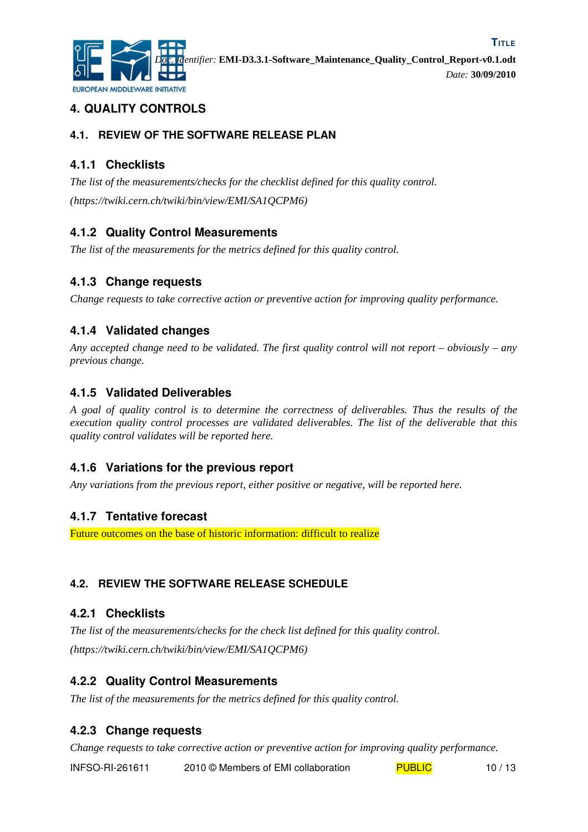

## **4. QUALITY CONTROLS**

#### **4.1. REVIEW OF THE SOFTWARE RELEASE PLAN**

## **4.1.1 Checklists**

*The list of the measurements/checks for the checklist defined for this quality control. (https://twiki.cern.ch/twiki/bin/view/EMI/SA1QCPM6)*

## **4.1.2 Quality Control Measurements**

*The list of the measurements for the metrics defined for this quality control.*

## **4.1.3 Change requests**

*Change requests to take corrective action or preventive action for improving quality performance.*

### **4.1.4 Validated changes**

*Any accepted change need to be validated. The first quality control will not report – obviously – any previous change.*

### **4.1.5 Validated Deliverables**

*A goal of quality control is to determine the correctness of deliverables. Thus the results of the execution quality control processes are validated deliverables. The list of the deliverable that this quality control validates will be reported here.*

### **4.1.6 Variations for the previous report**

*Any variations from the previous report, either positive or negative, will be reported here.*

#### **4.1.7 Tentative forecast**

Future outcomes on the base of historic information: difficult to realize

### **4.2. REVIEW THE SOFTWARE RELEASE SCHEDULE**

#### **4.2.1 Checklists**

*The list of the measurements/checks for the check list defined for this quality control. (https://twiki.cern.ch/twiki/bin/view/EMI/SA1QCPM6)*

### **4.2.2 Quality Control Measurements**

*The list of the measurements for the metrics defined for this quality control.*

### **4.2.3 Change requests**

*Change requests to take corrective action or preventive action for improving quality performance.*

INFSO-RI-261611 2010 © Members of EMI collaboration PUBLIC 10 / 13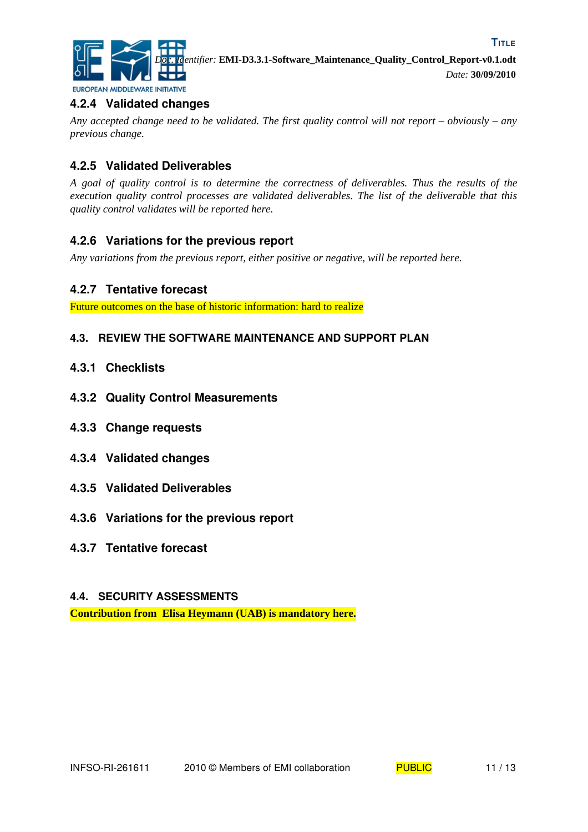

*Doc. Identifier:* **EMI-D3.3.1-Software\_Maintenance\_Quality\_Control\_Report-v0.1.odt** *Date:* **30/09/2010**

## **4.2.4 Validated changes**

*Any accepted change need to be validated. The first quality control will not report – obviously – any previous change.*

## **4.2.5 Validated Deliverables**

*A goal of quality control is to determine the correctness of deliverables. Thus the results of the execution quality control processes are validated deliverables. The list of the deliverable that this quality control validates will be reported here.*

#### **4.2.6 Variations for the previous report**

*Any variations from the previous report, either positive or negative, will be reported here.*

#### **4.2.7 Tentative forecast**

Future outcomes on the base of historic information: hard to realize

#### **4.3. REVIEW THE SOFTWARE MAINTENANCE AND SUPPORT PLAN**

- **4.3.1 Checklists**
- **4.3.2 Quality Control Measurements**
- **4.3.3 Change requests**
- **4.3.4 Validated changes**
- **4.3.5 Validated Deliverables**
- **4.3.6 Variations for the previous report**
- **4.3.7 Tentative forecast**

#### **4.4. SECURITY ASSESSMENTS**

**Contribution from Elisa Heymann (UAB) is mandatory here.**



**TITLE**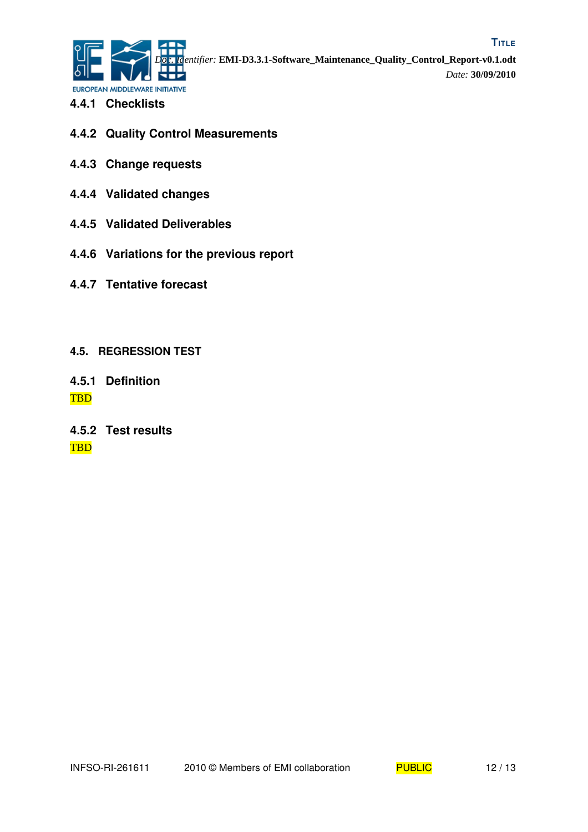

- **4.4.1 Checklists**
- **4.4.2 Quality Control Measurements**
- **4.4.3 Change requests**
- **4.4.4 Validated changes**
- **4.4.5 Validated Deliverables**
- **4.4.6 Variations for the previous report**
- **4.4.7 Tentative forecast**
- **4.5. REGRESSION TEST**
- **4.5.1 Definition** TBD
- **4.5.2 Test results** TBD